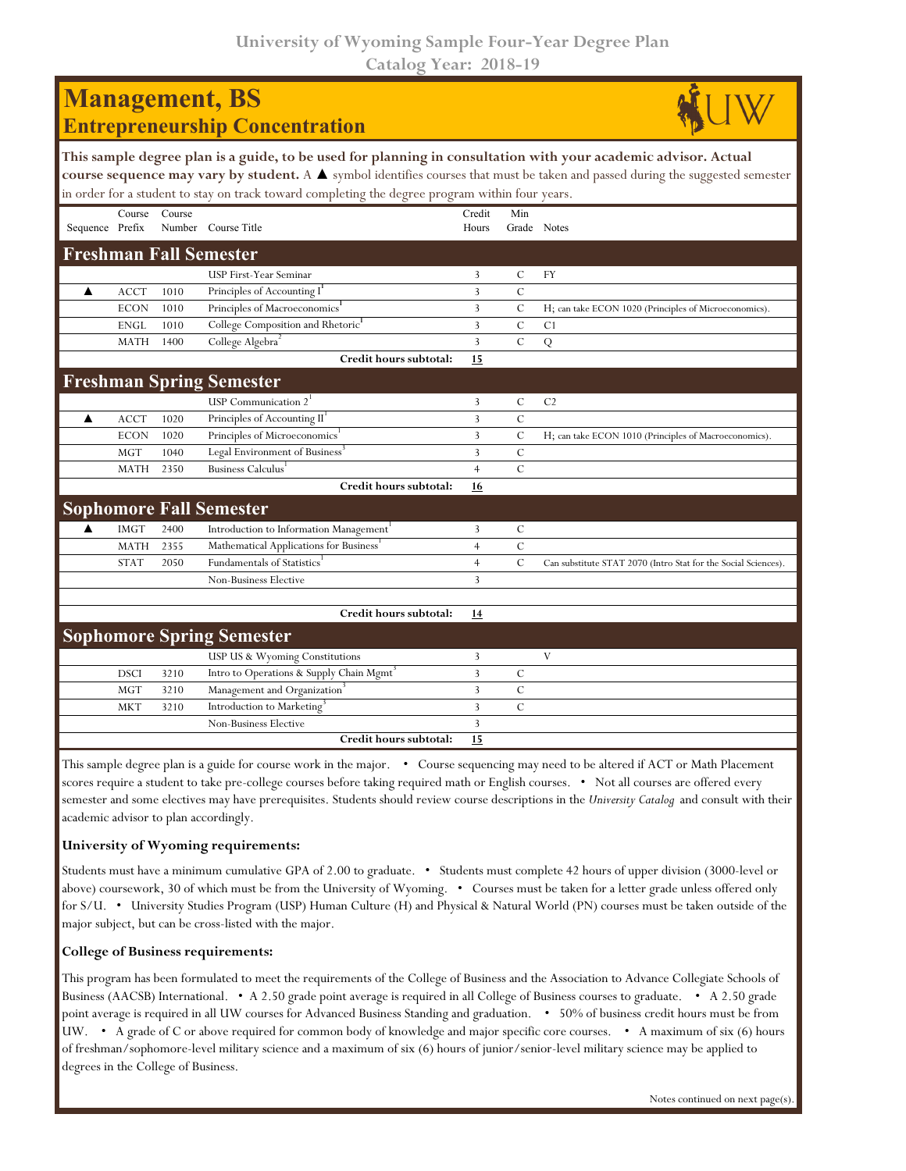**University of Wyoming Sample Four-Year Degree Plan Catalog Year: 2018-19**

| <b>Management</b> , BS                |  |  |  |  |  |  |
|---------------------------------------|--|--|--|--|--|--|
| <b>Entrepreneurship Concentration</b> |  |  |  |  |  |  |
|                                       |  |  |  |  |  |  |



|                 |             |        | This sample degree plan is a guide, to be used for planning in consultation with your academic advisor. Actual<br>course sequence may vary by student. A ▲ symbol identifies courses that must be taken and passed during the suggested semester<br>in order for a student to stay on track toward completing the degree program within four years. |                 |                |                                                                |
|-----------------|-------------|--------|-----------------------------------------------------------------------------------------------------------------------------------------------------------------------------------------------------------------------------------------------------------------------------------------------------------------------------------------------------|-----------------|----------------|----------------------------------------------------------------|
| Sequence Prefix | Course      | Course | Number Course Title                                                                                                                                                                                                                                                                                                                                 | Credit<br>Hours | Min            | Grade Notes                                                    |
|                 |             |        | <b>Freshman Fall Semester</b>                                                                                                                                                                                                                                                                                                                       |                 |                |                                                                |
|                 |             |        | USP First-Year Seminar                                                                                                                                                                                                                                                                                                                              | 3               | $\mathcal{C}$  | FY                                                             |
| ▲               | <b>ACCT</b> | 1010   | Principles of Accounting I                                                                                                                                                                                                                                                                                                                          | 3               | $\mathcal{C}$  |                                                                |
|                 | <b>ECON</b> | 1010   | Principles of Macroeconomics <sup>1</sup>                                                                                                                                                                                                                                                                                                           | 3               | $\mathsf{C}$   | H; can take ECON 1020 (Principles of Microeconomics).          |
|                 | <b>ENGL</b> | 1010   | College Composition and Rhetoric <sup>1</sup>                                                                                                                                                                                                                                                                                                       | 3               | $\mathcal{C}$  | C1                                                             |
|                 | <b>MATH</b> | 1400   | College Algebra <sup>2</sup>                                                                                                                                                                                                                                                                                                                        | 3               | $\overline{C}$ | ${\bf Q}$                                                      |
|                 |             |        | Credit hours subtotal:                                                                                                                                                                                                                                                                                                                              | 15              |                |                                                                |
|                 |             |        | <b>Freshman Spring Semester</b>                                                                                                                                                                                                                                                                                                                     |                 |                |                                                                |
|                 |             |        | USP Communication $21$                                                                                                                                                                                                                                                                                                                              | 3               | C              | C <sub>2</sub>                                                 |
| ▲               | <b>ACCT</b> | 1020   | Principles of Accounting II <sup>1</sup>                                                                                                                                                                                                                                                                                                            | 3               | $\overline{C}$ |                                                                |
|                 | <b>ECON</b> | 1020   | Principles of Microeconomics                                                                                                                                                                                                                                                                                                                        | 3               | $\mathcal{C}$  | H; can take ECON 1010 (Principles of Macroeconomics).          |
|                 | <b>MGT</b>  | 1040   | Legal Environment of Business <sup>3</sup>                                                                                                                                                                                                                                                                                                          | 3               | $\mathcal{C}$  |                                                                |
|                 | <b>MATH</b> | 2350   | Business Calculus <sup>1</sup>                                                                                                                                                                                                                                                                                                                      | $\overline{4}$  | $\mathcal{C}$  |                                                                |
|                 |             |        | Credit hours subtotal:                                                                                                                                                                                                                                                                                                                              | 16              |                |                                                                |
|                 |             |        | <b>Sophomore Fall Semester</b>                                                                                                                                                                                                                                                                                                                      |                 |                |                                                                |
| ▲               | <b>IMGT</b> | 2400   | Introduction to Information Management <sup>1</sup>                                                                                                                                                                                                                                                                                                 | 3               | $\mathsf{C}$   |                                                                |
|                 | <b>MATH</b> | 2355   | Mathematical Applications for Business <sup>1</sup>                                                                                                                                                                                                                                                                                                 | $\overline{4}$  | $\overline{C}$ |                                                                |
|                 | <b>STAT</b> | 2050   | Fundamentals of Statistics                                                                                                                                                                                                                                                                                                                          | $\overline{4}$  | $\mathcal{C}$  | Can substitute STAT 2070 (Intro Stat for the Social Sciences). |
|                 |             |        | <b>Non-Business Elective</b>                                                                                                                                                                                                                                                                                                                        | 3               |                |                                                                |
|                 |             |        |                                                                                                                                                                                                                                                                                                                                                     |                 |                |                                                                |
|                 |             |        | Credit hours subtotal:                                                                                                                                                                                                                                                                                                                              | 14              |                |                                                                |
|                 |             |        | <b>Sophomore Spring Semester</b>                                                                                                                                                                                                                                                                                                                    |                 |                |                                                                |
|                 |             |        | USP US & Wyoming Constitutions                                                                                                                                                                                                                                                                                                                      | 3               |                | V                                                              |
|                 | <b>DSCI</b> | 3210   | Intro to Operations & Supply Chain Mgmt <sup>3</sup>                                                                                                                                                                                                                                                                                                | 3               | $\mathcal{C}$  |                                                                |
|                 | <b>MGT</b>  | 3210   | Management and Organization <sup>3</sup>                                                                                                                                                                                                                                                                                                            | 3               | $\mathcal{C}$  |                                                                |
|                 | <b>MKT</b>  | 3210   | Introduction to Marketing <sup>3</sup>                                                                                                                                                                                                                                                                                                              | 3               | $\overline{C}$ |                                                                |
|                 |             |        | <b>Non-Business Elective</b>                                                                                                                                                                                                                                                                                                                        | 3               |                |                                                                |
|                 |             |        | Credit hours subtotal:                                                                                                                                                                                                                                                                                                                              | 15              |                |                                                                |

This sample degree plan is a guide for course work in the major. • Course sequencing may need to be altered if ACT or Math Placement scores require a student to take pre-college courses before taking required math or English courses. • Not all courses are offered every semester and some electives may have prerequisites. Students should review course descriptions in the *University Catalog* and consult with their academic advisor to plan accordingly.

## **University of Wyoming requirements:**

Students must have a minimum cumulative GPA of 2.00 to graduate. • Students must complete 42 hours of upper division (3000-level or above) coursework, 30 of which must be from the University of Wyoming. • Courses must be taken for a letter grade unless offered only for S/U. • University Studies Program (USP) Human Culture (H) and Physical & Natural World (PN) courses must be taken outside of the major subject, but can be cross-listed with the major.

## **College of Business requirements:**

This program has been formulated to meet the requirements of the College of Business and the Association to Advance Collegiate Schools of Business (AACSB) International. • A 2.50 grade point average is required in all College of Business courses to graduate. • A 2.50 grade point average is required in all UW courses for Advanced Business Standing and graduation. • 50% of business credit hours must be from UW. • A grade of C or above required for common body of knowledge and major specific core courses. • A maximum of six (6) hours of freshman/sophomore-level military science and a maximum of six (6) hours of junior/senior-level military science may be applied to degrees in the College of Business.